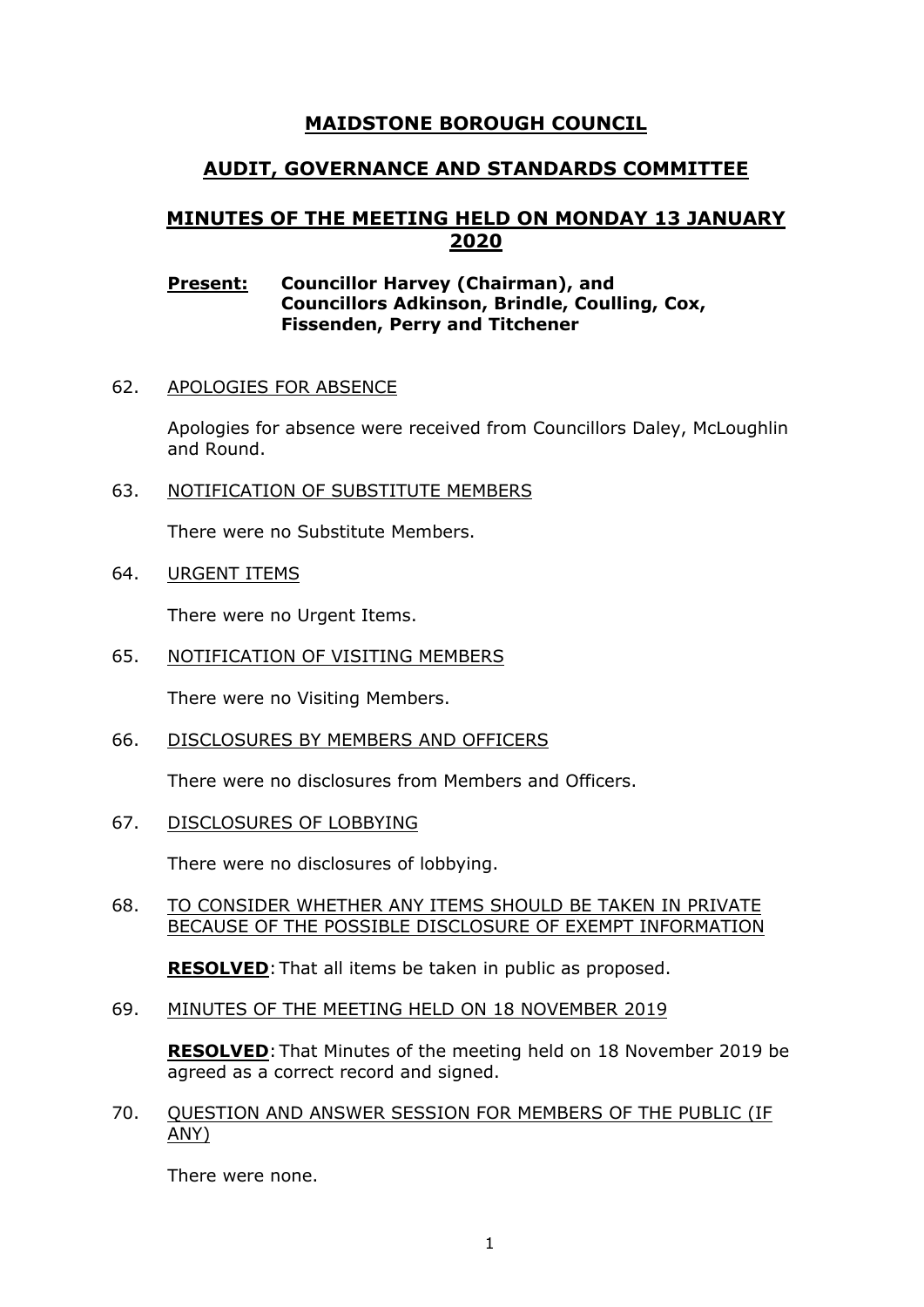# **MAIDSTONE BOROUGH COUNCIL**

# **AUDIT, GOVERNANCE AND STANDARDS COMMITTEE**

# **MINUTES OF THE MEETING HELD ON MONDAY 13 JANUARY 2020**

### **Present: Councillor Harvey (Chairman), and Councillors Adkinson, Brindle, Coulling, Cox, Fissenden, Perry and Titchener**

62. APOLOGIES FOR ABSENCE

Apologies for absence were received from Councillors Daley, McLoughlin and Round.

63. NOTIFICATION OF SUBSTITUTE MEMBERS

There were no Substitute Members.

64. URGENT ITEMS

There were no Urgent Items.

65. NOTIFICATION OF VISITING MEMBERS

There were no Visiting Members.

66. DISCLOSURES BY MEMBERS AND OFFICERS

There were no disclosures from Members and Officers.

67. DISCLOSURES OF LOBBYING

There were no disclosures of lobbying.

#### 68. TO CONSIDER WHETHER ANY ITEMS SHOULD BE TAKEN IN PRIVATE BECAUSE OF THE POSSIBLE DISCLOSURE OF EXEMPT INFORMATION

**RESOLVED**:That all items be taken in public as proposed.

69. MINUTES OF THE MEETING HELD ON 18 NOVEMBER 2019

**RESOLVED**:That Minutes of the meeting held on 18 November 2019 be agreed as a correct record and signed.

70. QUESTION AND ANSWER SESSION FOR MEMBERS OF THE PUBLIC (IF ANY)

There were none.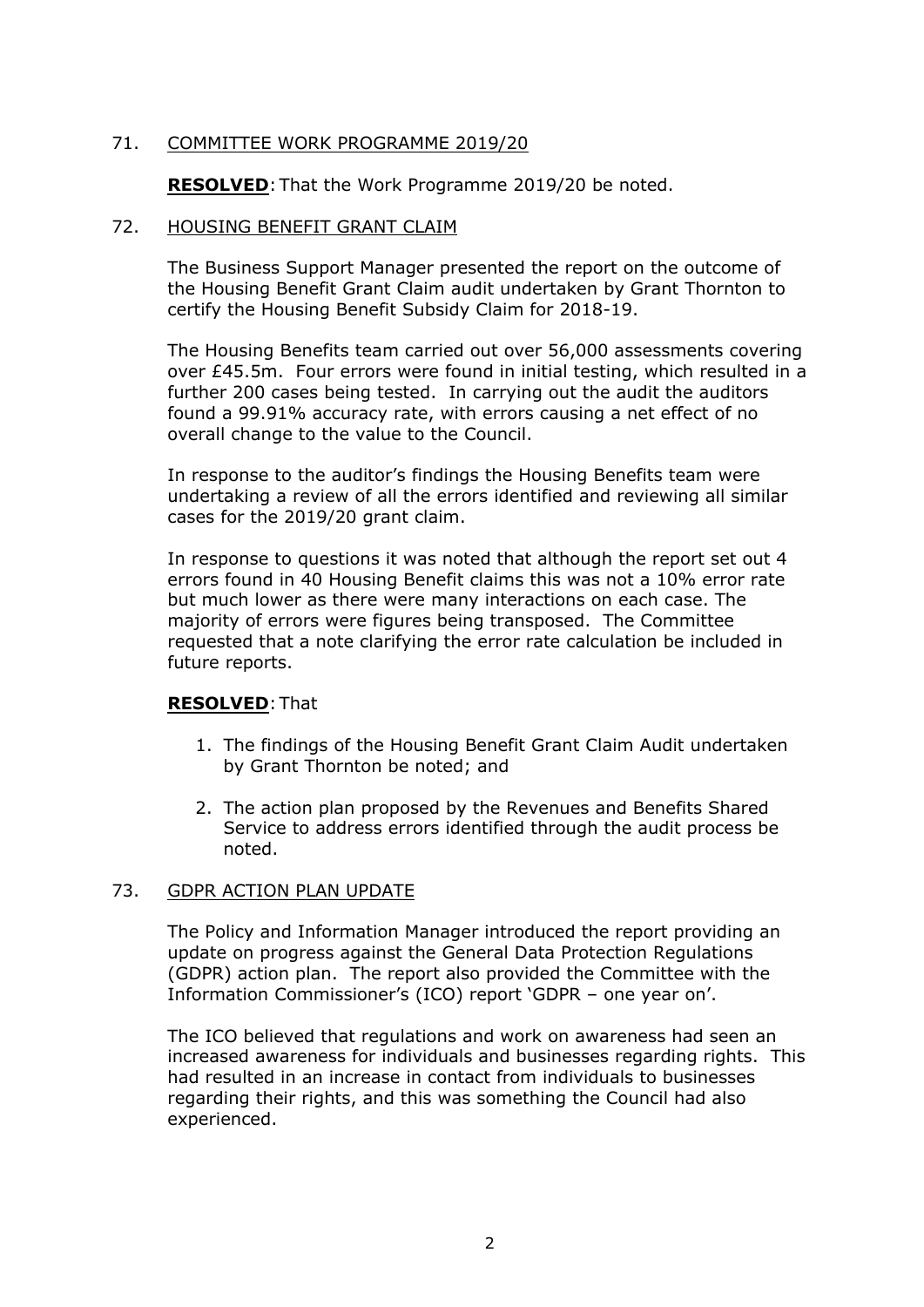# 71. COMMITTEE WORK PROGRAMME 2019/20

**RESOLVED:** That the Work Programme 2019/20 be noted.

### 72. HOUSING BENEFIT GRANT CLAIM

The Business Support Manager presented the report on the outcome of the Housing Benefit Grant Claim audit undertaken by Grant Thornton to certify the Housing Benefit Subsidy Claim for 2018-19.

The Housing Benefits team carried out over 56,000 assessments covering over £45.5m. Four errors were found in initial testing, which resulted in a further 200 cases being tested. In carrying out the audit the auditors found a 99.91% accuracy rate, with errors causing a net effect of no overall change to the value to the Council.

In response to the auditor's findings the Housing Benefits team were undertaking a review of all the errors identified and reviewing all similar cases for the 2019/20 grant claim.

In response to questions it was noted that although the report set out 4 errors found in 40 Housing Benefit claims this was not a 10% error rate but much lower as there were many interactions on each case. The majority of errors were figures being transposed. The Committee requested that a note clarifying the error rate calculation be included in future reports.

### **RESOLVED**:That

- 1. The findings of the Housing Benefit Grant Claim Audit undertaken by Grant Thornton be noted; and
- 2. The action plan proposed by the Revenues and Benefits Shared Service to address errors identified through the audit process be noted.

### 73. GDPR ACTION PLAN UPDATE

The Policy and Information Manager introduced the report providing an update on progress against the General Data Protection Regulations (GDPR) action plan. The report also provided the Committee with the Information Commissioner's (ICO) report 'GDPR – one year on'.

The ICO believed that regulations and work on awareness had seen an increased awareness for individuals and businesses regarding rights. This had resulted in an increase in contact from individuals to businesses regarding their rights, and this was something the Council had also experienced.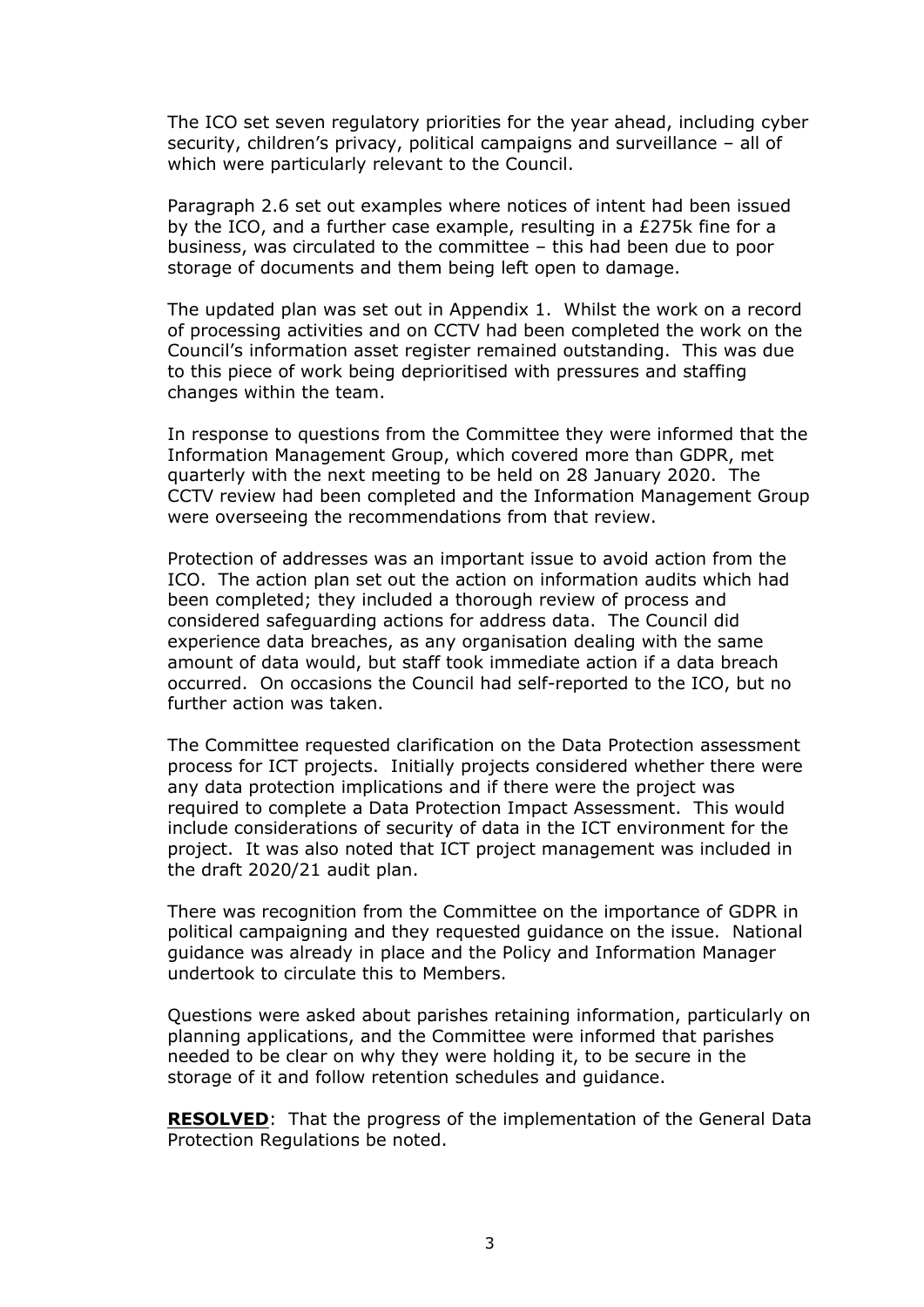The ICO set seven regulatory priorities for the year ahead, including cyber security, children's privacy, political campaigns and surveillance – all of which were particularly relevant to the Council.

Paragraph 2.6 set out examples where notices of intent had been issued by the ICO, and a further case example, resulting in a £275k fine for a business, was circulated to the committee – this had been due to poor storage of documents and them being left open to damage.

The updated plan was set out in Appendix 1. Whilst the work on a record of processing activities and on CCTV had been completed the work on the Council's information asset register remained outstanding. This was due to this piece of work being deprioritised with pressures and staffing changes within the team.

In response to questions from the Committee they were informed that the Information Management Group, which covered more than GDPR, met quarterly with the next meeting to be held on 28 January 2020. The CCTV review had been completed and the Information Management Group were overseeing the recommendations from that review.

Protection of addresses was an important issue to avoid action from the ICO. The action plan set out the action on information audits which had been completed; they included a thorough review of process and considered safeguarding actions for address data. The Council did experience data breaches, as any organisation dealing with the same amount of data would, but staff took immediate action if a data breach occurred. On occasions the Council had self-reported to the ICO, but no further action was taken.

The Committee requested clarification on the Data Protection assessment process for ICT projects. Initially projects considered whether there were any data protection implications and if there were the project was required to complete a Data Protection Impact Assessment. This would include considerations of security of data in the ICT environment for the project. It was also noted that ICT project management was included in the draft 2020/21 audit plan.

There was recognition from the Committee on the importance of GDPR in political campaigning and they requested guidance on the issue. National guidance was already in place and the Policy and Information Manager undertook to circulate this to Members.

Questions were asked about parishes retaining information, particularly on planning applications, and the Committee were informed that parishes needed to be clear on why they were holding it, to be secure in the storage of it and follow retention schedules and guidance.

**RESOLVED**: That the progress of the implementation of the General Data Protection Regulations be noted.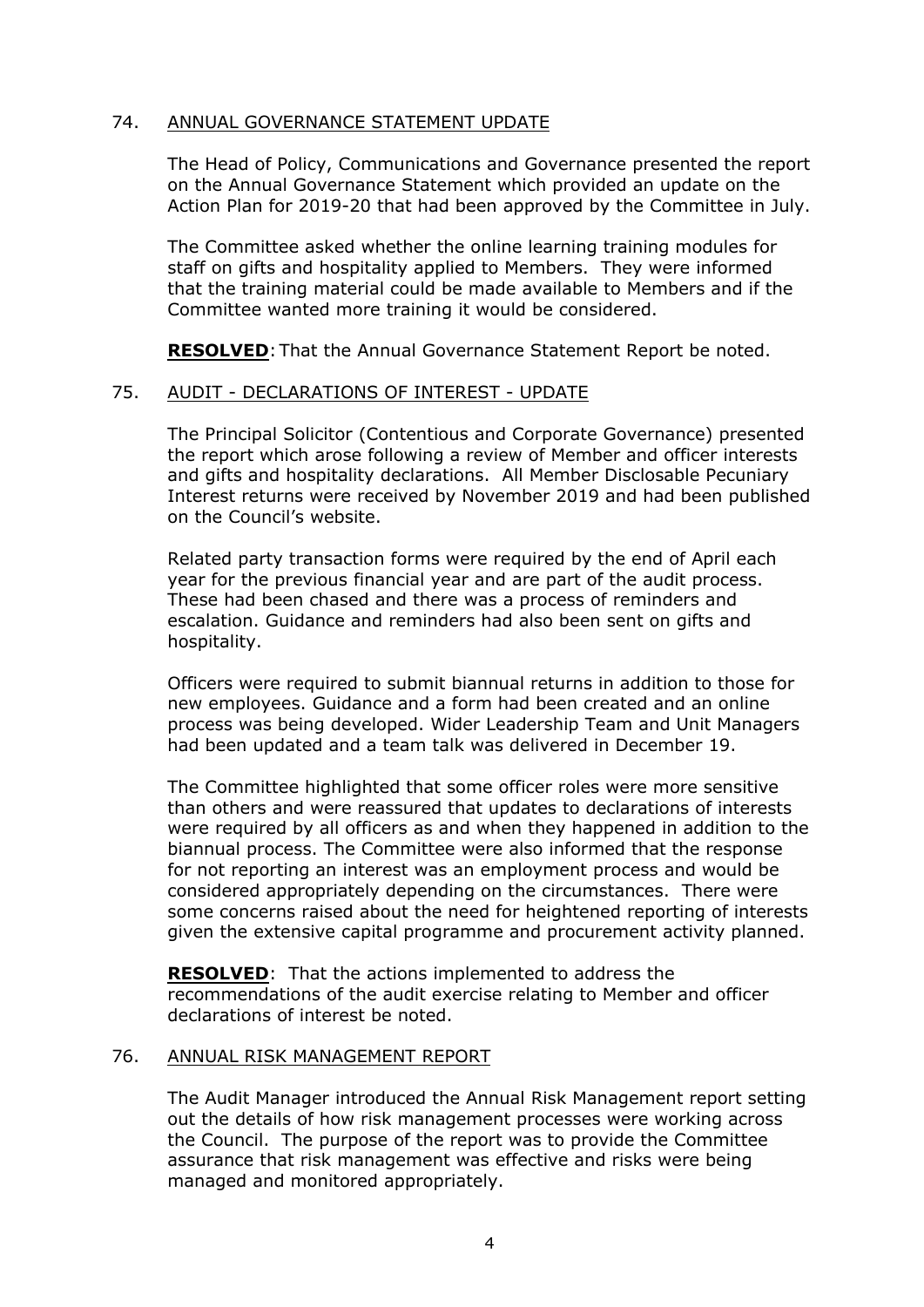### 74. ANNUAL GOVERNANCE STATEMENT UPDATE

The Head of Policy, Communications and Governance presented the report on the Annual Governance Statement which provided an update on the Action Plan for 2019-20 that had been approved by the Committee in July.

The Committee asked whether the online learning training modules for staff on gifts and hospitality applied to Members. They were informed that the training material could be made available to Members and if the Committee wanted more training it would be considered.

**RESOLVED**:That the Annual Governance Statement Report be noted.

## 75. AUDIT - DECLARATIONS OF INTEREST - UPDATE

The Principal Solicitor (Contentious and Corporate Governance) presented the report which arose following a review of Member and officer interests and gifts and hospitality declarations. All Member Disclosable Pecuniary Interest returns were received by November 2019 and had been published on the Council's website.

Related party transaction forms were required by the end of April each year for the previous financial year and are part of the audit process. These had been chased and there was a process of reminders and escalation. Guidance and reminders had also been sent on gifts and hospitality.

Officers were required to submit biannual returns in addition to those for new employees. Guidance and a form had been created and an online process was being developed. Wider Leadership Team and Unit Managers had been updated and a team talk was delivered in December 19.

The Committee highlighted that some officer roles were more sensitive than others and were reassured that updates to declarations of interests were required by all officers as and when they happened in addition to the biannual process. The Committee were also informed that the response for not reporting an interest was an employment process and would be considered appropriately depending on the circumstances. There were some concerns raised about the need for heightened reporting of interests given the extensive capital programme and procurement activity planned.

**RESOLVED**: That the actions implemented to address the recommendations of the audit exercise relating to Member and officer declarations of interest be noted.

### 76. ANNUAL RISK MANAGEMENT REPORT

The Audit Manager introduced the Annual Risk Management report setting out the details of how risk management processes were working across the Council. The purpose of the report was to provide the Committee assurance that risk management was effective and risks were being managed and monitored appropriately.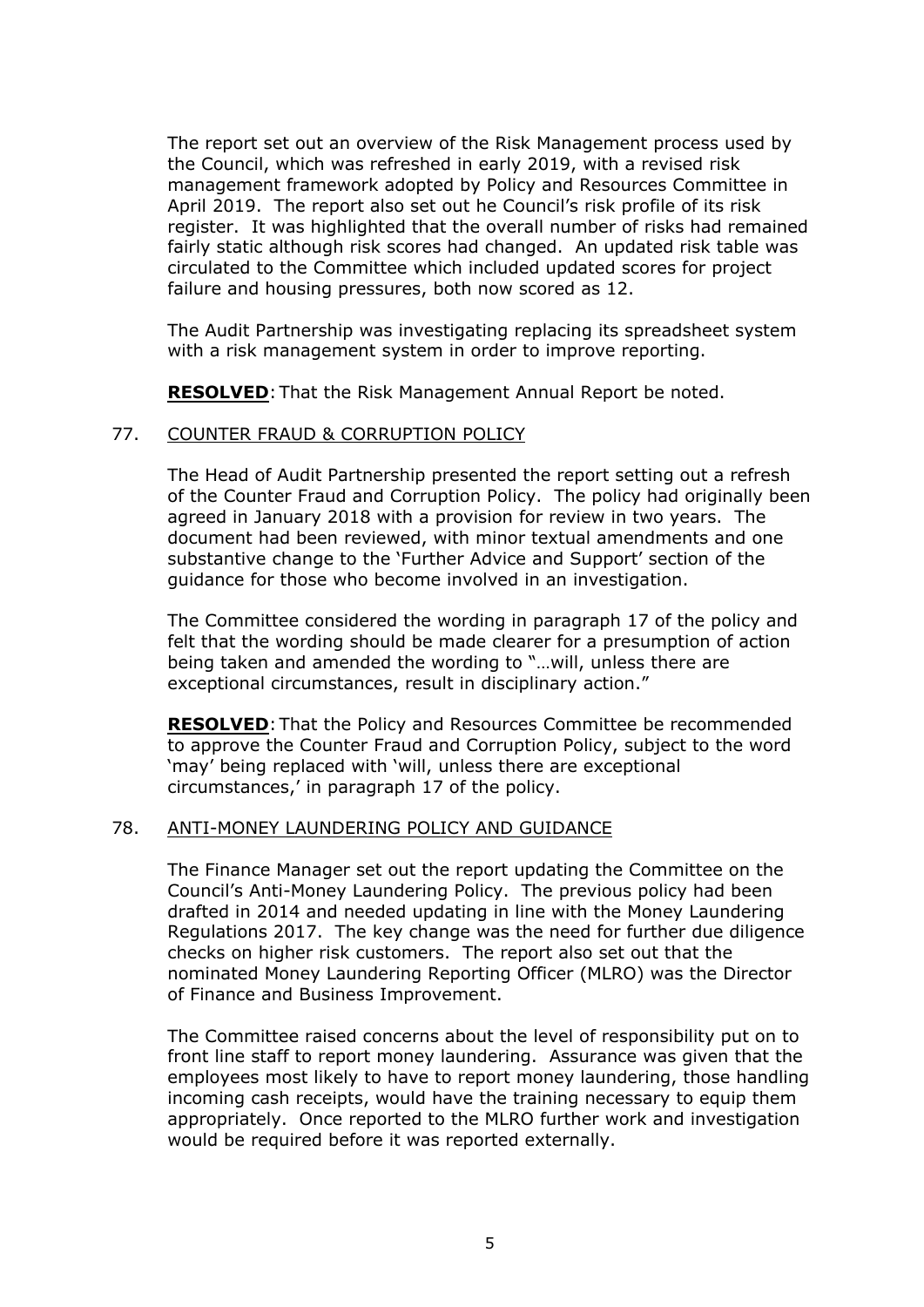The report set out an overview of the Risk Management process used by the Council, which was refreshed in early 2019, with a revised risk management framework adopted by Policy and Resources Committee in April 2019. The report also set out he Council's risk profile of its risk register. It was highlighted that the overall number of risks had remained fairly static although risk scores had changed. An updated risk table was circulated to the Committee which included updated scores for project failure and housing pressures, both now scored as 12.

The Audit Partnership was investigating replacing its spreadsheet system with a risk management system in order to improve reporting.

**RESOLVED**:That the Risk Management Annual Report be noted.

#### 77. COUNTER FRAUD & CORRUPTION POLICY

The Head of Audit Partnership presented the report setting out a refresh of the Counter Fraud and Corruption Policy. The policy had originally been agreed in January 2018 with a provision for review in two years. The document had been reviewed, with minor textual amendments and one substantive change to the 'Further Advice and Support' section of the guidance for those who become involved in an investigation.

The Committee considered the wording in paragraph 17 of the policy and felt that the wording should be made clearer for a presumption of action being taken and amended the wording to "…will, unless there are exceptional circumstances, result in disciplinary action."

**RESOLVED**:That the Policy and Resources Committee be recommended to approve the Counter Fraud and Corruption Policy, subject to the word 'may' being replaced with 'will, unless there are exceptional circumstances,' in paragraph 17 of the policy.

#### 78. ANTI-MONEY LAUNDERING POLICY AND GUIDANCE

The Finance Manager set out the report updating the Committee on the Council's Anti-Money Laundering Policy. The previous policy had been drafted in 2014 and needed updating in line with the Money Laundering Regulations 2017. The key change was the need for further due diligence checks on higher risk customers. The report also set out that the nominated Money Laundering Reporting Officer (MLRO) was the Director of Finance and Business Improvement.

The Committee raised concerns about the level of responsibility put on to front line staff to report money laundering. Assurance was given that the employees most likely to have to report money laundering, those handling incoming cash receipts, would have the training necessary to equip them appropriately. Once reported to the MLRO further work and investigation would be required before it was reported externally.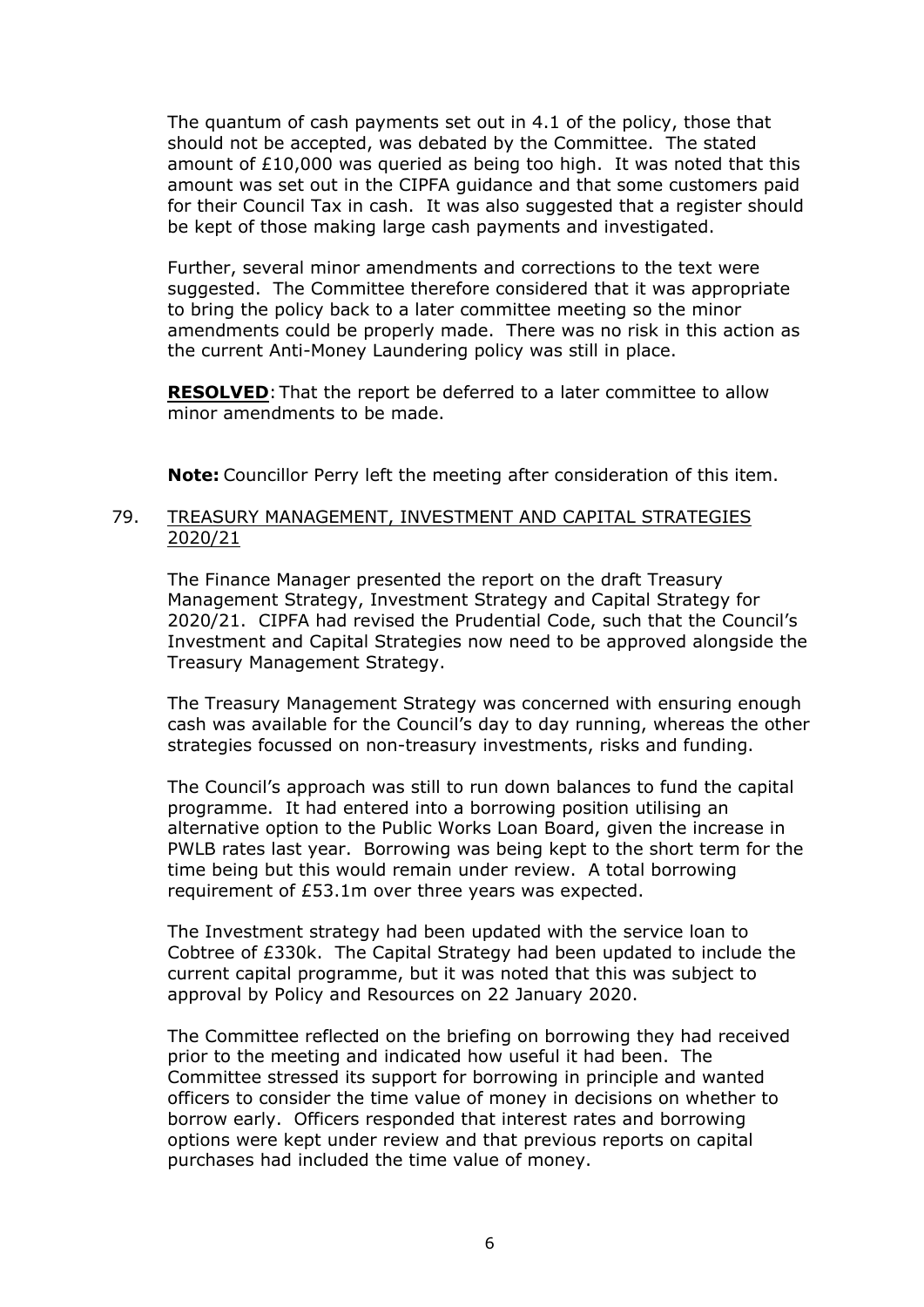The quantum of cash payments set out in 4.1 of the policy, those that should not be accepted, was debated by the Committee. The stated amount of £10,000 was queried as being too high. It was noted that this amount was set out in the CIPFA guidance and that some customers paid for their Council Tax in cash. It was also suggested that a register should be kept of those making large cash payments and investigated.

Further, several minor amendments and corrections to the text were suggested. The Committee therefore considered that it was appropriate to bring the policy back to a later committee meeting so the minor amendments could be properly made. There was no risk in this action as the current Anti-Money Laundering policy was still in place.

**RESOLVED**: That the report be deferred to a later committee to allow minor amendments to be made.

**Note:** Councillor Perry left the meeting after consideration of this item.

## 79. TREASURY MANAGEMENT, INVESTMENT AND CAPITAL STRATEGIES 2020/21

The Finance Manager presented the report on the draft Treasury Management Strategy, Investment Strategy and Capital Strategy for 2020/21. CIPFA had revised the Prudential Code, such that the Council's Investment and Capital Strategies now need to be approved alongside the Treasury Management Strategy.

The Treasury Management Strategy was concerned with ensuring enough cash was available for the Council's day to day running, whereas the other strategies focussed on non-treasury investments, risks and funding.

The Council's approach was still to run down balances to fund the capital programme. It had entered into a borrowing position utilising an alternative option to the Public Works Loan Board, given the increase in PWLB rates last year. Borrowing was being kept to the short term for the time being but this would remain under review. A total borrowing requirement of £53.1m over three years was expected.

The Investment strategy had been updated with the service loan to Cobtree of £330k. The Capital Strategy had been updated to include the current capital programme, but it was noted that this was subject to approval by Policy and Resources on 22 January 2020.

The Committee reflected on the briefing on borrowing they had received prior to the meeting and indicated how useful it had been. The Committee stressed its support for borrowing in principle and wanted officers to consider the time value of money in decisions on whether to borrow early. Officers responded that interest rates and borrowing options were kept under review and that previous reports on capital purchases had included the time value of money.